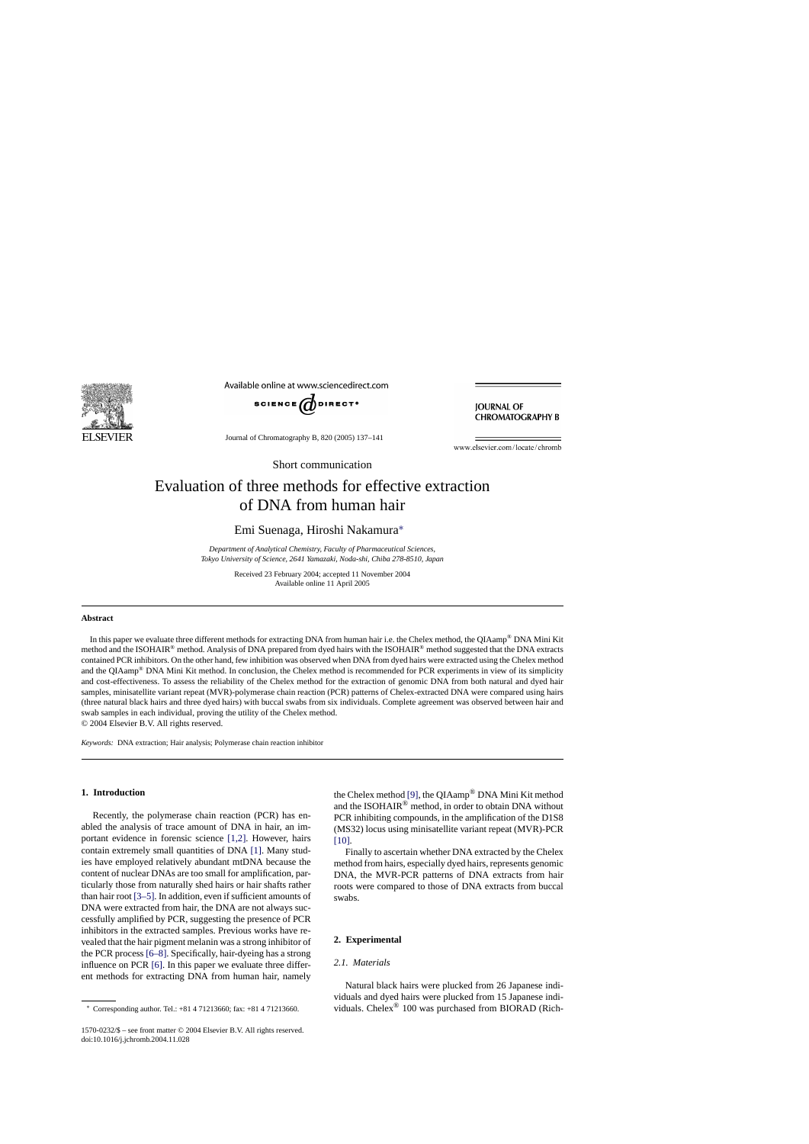

Available online at www.sciencedirect.com



**JOURNAL OF CHROMATOGRAPHY B** 

Journal of Chromatography B, 820 (2005) 137–141

www.elsevier.com/locate/chromb

Short communication

# Evaluation of three methods for effective extraction of DNA from human hair

Emi Suenaga, Hiroshi Nakamura∗

*Department of Analytical Chemistry, Faculty of Pharmaceutical Sciences, Tokyo University of Science, 2641 Yamazaki, Noda-shi, Chiba 278-8510, Japan*

> Received 23 February 2004; accepted 11 November 2004 Available online 11 April 2005

## **Abstract**

In this paper we evaluate three different methods for extracting DNA from human hair i.e. the Chelex method, the QIAamp® DNA Mini Kit method and the ISOHAIR® method. Analysis of DNA prepared from dyed hairs with the ISOHAIR® method suggested that the DNA extracts contained PCR inhibitors. On the other hand, few inhibition was observed when DNA from dyed hairs were extracted using the Chelex method and the QIAamp® DNA Mini Kit method. In conclusion, the Chelex method is recommended for PCR experiments in view of its simplicity and cost-effectiveness. To assess the reliability of the Chelex method for the extraction of genomic DNA from both natural and dyed hair samples, minisatellite variant repeat (MVR)-polymerase chain reaction (PCR) patterns of Chelex-extracted DNA were compared using hairs (three natural black hairs and three dyed hairs) with buccal swabs from six individuals. Complete agreement was observed between hair and swab samples in each individual, proving the utility of the Chelex method. © 2004 Elsevier B.V. All rights reserved.

*Keywords:* DNA extraction; Hair analysis; Polymerase chain reaction inhibitor

## **1. Introduction**

Recently, the polymerase chain reaction (PCR) has enabled the analysis of trace amount of DNA in hair, an important evidence in forensic science [\[1,2\].](#page-3-0) However, hairs contain extremely small quantities of DNA [\[1\].](#page-3-0) Many studies have employed relatively abundant mtDNA because the content of nuclear DNAs are too small for amplification, particularly those from naturally shed hairs or hair shafts rather than hair root [\[3–5\]. I](#page-3-0)n addition, even if sufficient amounts of DNA were extracted from hair, the DNA are not always successfully amplified by PCR, suggesting the presence of PCR inhibitors in the extracted samples. Previous works have revealed that the hair pigment melanin was a strong inhibitor of the PCR process [\[6–8\].](#page-3-0) Specifically, hair-dyeing has a strong influence on PCR [\[6\].](#page-3-0) In this paper we evaluate three different methods for extracting DNA from human hair, namely

∗ Corresponding author. Tel.: +81 4 71213660; fax: +81 4 71213660.

the Chelex method [\[9\],](#page-4-0) the QIAamp® DNA Mini Kit method and the ISOHAIR® method, in order to obtain DNA without PCR inhibiting compounds, in the amplification of the D1S8 (MS32) locus using minisatellite variant repeat (MVR)-PCR [\[10\].](#page-4-0)

Finally to ascertain whether DNA extracted by the Chelex method from hairs, especially dyed hairs, represents genomic DNA, the MVR-PCR patterns of DNA extracts from hair roots were compared to those of DNA extracts from buccal swabs.

### **2. Experimental**

# *2.1. Materials*

Natural black hairs were plucked from 26 Japanese individuals and dyed hairs were plucked from 15 Japanese individuals. Chelex® 100 was purchased from BIORAD (Rich-

<sup>1570-0232/\$ –</sup> see front matter © 2004 Elsevier B.V. All rights reserved. doi:10.1016/j.jchromb.2004.11.028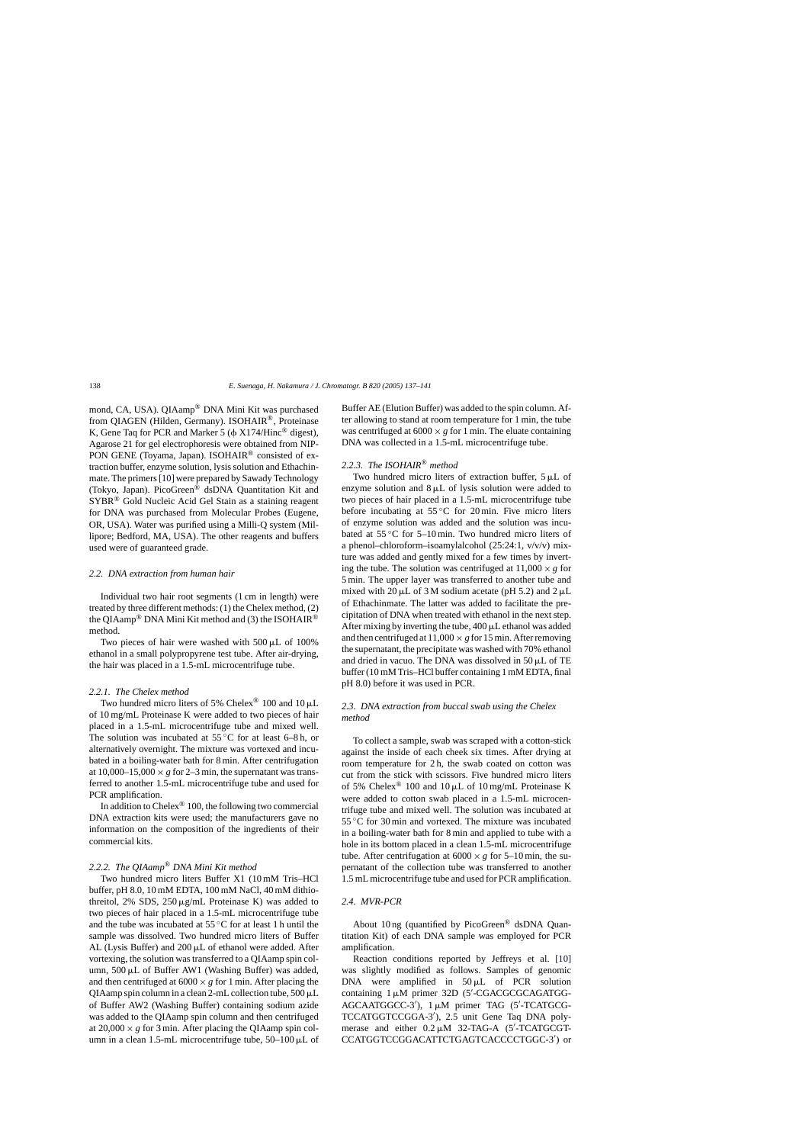mond, CA, USA). QIAamp® DNA Mini Kit was purchased from QIAGEN (Hilden, Germany). ISOHAIR®, Proteinase K, Gene Taq for PCR and Marker 5 ( $\phi$  X174/Hinc<sup>®</sup> digest), Agarose 21 for gel electrophoresis were obtained from NIP-PON GENE (Toyama, Japan). ISOHAIR<sup>®</sup> consisted of extraction buffer, enzyme solution, lysis solution and Ethachinmate. The primers[\[10\]](#page-4-0) were prepared by Sawady Technology (Tokyo, Japan). PicoGreen® dsDNA Quantitation Kit and SYBR® Gold Nucleic Acid Gel Stain as a staining reagent for DNA was purchased from Molecular Probes (Eugene, OR, USA). Water was purified using a Milli-Q system (Millipore; Bedford, MA, USA). The other reagents and buffers used were of guaranteed grade.

## *2.2. DNA extraction from human hair*

Individual two hair root segments (1 cm in length) were treated by three different methods: (1) the Chelex method, (2) the QIAamp<sup>®</sup> DNA Mini Kit method and (3) the ISOHAIR<sup>®</sup> method.

Two pieces of hair were washed with  $500 \mu L$  of  $100\%$ ethanol in a small polypropyrene test tube. After air-drying, the hair was placed in a 1.5-mL microcentrifuge tube.

## *2.2.1. The Chelex method*

Two hundred micro liters of 5% Chelex<sup>®</sup> 100 and 10  $\mu$ L of 10 mg/mL Proteinase K were added to two pieces of hair placed in a 1.5-mL microcentrifuge tube and mixed well. The solution was incubated at  $55^{\circ}$ C for at least 6–8 h, or alternatively overnight. The mixture was vortexed and incubated in a boiling-water bath for 8 min. After centrifugation at  $10,000-15,000 \times g$  for 2–3 min, the supernatant was transferred to another 1.5-mL microcentrifuge tube and used for PCR amplification.

In addition to Chelex<sup>®</sup> 100, the following two commercial DNA extraction kits were used; the manufacturers gave no information on the composition of the ingredients of their commercial kits.

# *2.2.2. The QIAamp*® *DNA Mini Kit method*

Two hundred micro liters Buffer X1 (10 mM Tris–HCl buffer, pH 8.0, 10 mM EDTA, 100 mM NaCl, 40 mM dithiothreitol, 2% SDS, 250  $\mu$ g/mL Proteinase K) was added to two pieces of hair placed in a 1.5-mL microcentrifuge tube and the tube was incubated at 55 ◦C for at least 1 h until the sample was dissolved. Two hundred micro liters of Buffer AL (Lysis Buffer) and  $200 \mu L$  of ethanol were added. After vortexing, the solution was transferred to a QIAamp spin column, 500 µL of Buffer AW1 (Washing Buffer) was added, and then centrifuged at  $6000 \times g$  for 1 min. After placing the QIAamp spin column in a clean 2-mL collection tube,  $500 \mu L$ of Buffer AW2 (Washing Buffer) containing sodium azide was added to the QIAamp spin column and then centrifuged at  $20,000 \times g$  for 3 min. After placing the QIAamp spin column in a clean  $1.5$ -mL microcentrifuge tube,  $50-100 \mu L$  of

Buffer AE (Elution Buffer) was added to the spin column. After allowing to stand at room temperature for 1 min, the tube was centrifuged at  $6000 \times g$  for 1 min. The eluate containing DNA was collected in a 1.5-mL microcentrifuge tube.

# *2.2.3. The ISOHAIR*® *method*

Two hundred micro liters of extraction buffer,  $5 \mu L$  of enzyme solution and  $8 \mu L$  of lysis solution were added to two pieces of hair placed in a 1.5-mL microcentrifuge tube before incubating at  $55^{\circ}$ C for 20 min. Five micro liters of enzyme solution was added and the solution was incubated at  $55^{\circ}$ C for  $5-10$  min. Two hundred micro liters of a phenol–chloroform–isoamylalcohol (25:24:1, v/v/v) mixture was added and gently mixed for a few times by inverting the tube. The solution was centrifuged at  $11,000 \times g$  for 5 min. The upper layer was transferred to another tube and mixed with 20  $\mu$ L of 3 M sodium acetate (pH 5.2) and 2  $\mu$ L of Ethachinmate. The latter was added to facilitate the precipitation of DNA when treated with ethanol in the next step. After mixing by inverting the tube,  $400 \mu L$  ethanol was added and then centrifuged at  $11,000 \times g$  for 15 min. After removing the supernatant, the precipitate was washed with 70% ethanol and dried in vacuo. The DNA was dissolved in  $50 \mu L$  of TE buffer (10 mM Tris–HCl buffer containing 1 mM EDTA, final pH 8.0) before it was used in PCR.

# *2.3. DNA extraction from buccal swab using the Chelex method*

To collect a sample, swab was scraped with a cotton-stick against the inside of each cheek six times. After drying at room temperature for 2 h, the swab coated on cotton was cut from the stick with scissors. Five hundred micro liters of 5% Chelex<sup>®</sup> 100 and 10  $\mu$ L of 10 mg/mL Proteinase K were added to cotton swab placed in a 1.5-mL microcentrifuge tube and mixed well. The solution was incubated at 55 °C for 30 min and vortexed. The mixture was incubated in a boiling-water bath for 8 min and applied to tube with a hole in its bottom placed in a clean 1.5-mL microcentrifuge tube. After centrifugation at  $6000 \times g$  for  $5{\text -}10$  min, the supernatant of the collection tube was transferred to another 1.5 mL microcentrifuge tube and used for PCR amplification.

## *2.4. MVR-PCR*

About 10 ng (quantified by PicoGreen<sup>®</sup> dsDNA Quantitation Kit) of each DNA sample was employed for PCR amplification.

Reaction conditions reported by Jeffreys et al. [\[10\]](#page-4-0) was slightly modified as follows. Samples of genomic DNA were amplified in  $50 \mu L$  of PCR solution containing 1 µM primer 32D (5'-CGACGCGCAGATGG-AGCAATGGCC-3'), 1μM primer TAG (5'-TCATGCG-TCCATGGTCCGGA-3 ), 2.5 unit Gene Taq DNA polymerase and either  $0.2 \mu M$  32-TAG-A (5'-TCATGCGT-CCATGGTCCGGACATTCTGAGTCACCCCTGGC-3 ) or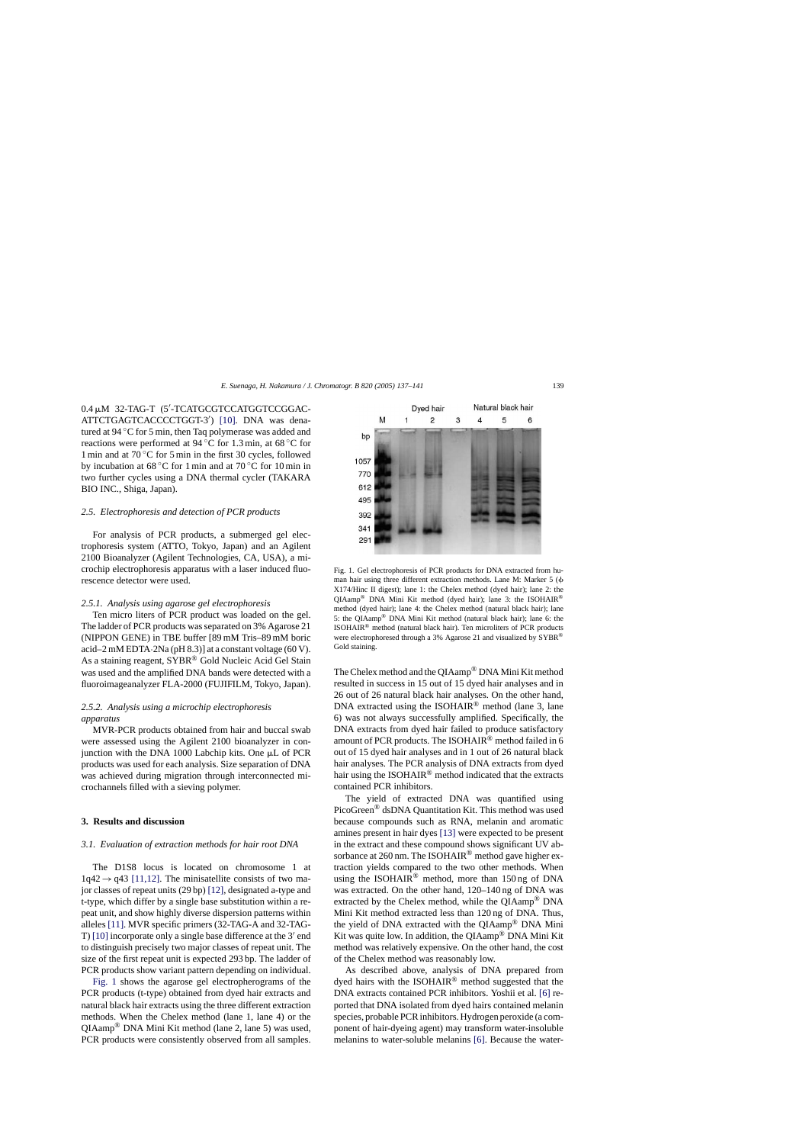0.4 µM 32-TAG-T (5'-TCATGCGTCCATGGTCCGGAC-ATTCTGAGTCACCCCTGGT-3 ) [\[10\].](#page-4-0) DNA was denatured at 94 ◦C for 5 min, then Taq polymerase was added and reactions were performed at 94 ◦C for 1.3 min, at 68 ◦C for 1 min and at  $70^{\circ}$ C for 5 min in the first 30 cycles, followed by incubation at  $68\,^{\circ}\text{C}$  for 1 min and at  $70\,^{\circ}\text{C}$  for 10 min in two further cycles using a DNA thermal cycler (TAKARA BIO INC., Shiga, Japan).

#### *2.5. Electrophoresis and detection of PCR products*

For analysis of PCR products, a submerged gel electrophoresis system (ATTO, Tokyo, Japan) and an Agilent 2100 Bioanalyzer (Agilent Technologies, CA, USA), a microchip electrophoresis apparatus with a laser induced fluorescence detector were used.

#### *2.5.1. Analysis using agarose gel electrophoresis*

Ten micro liters of PCR product was loaded on the gel. The ladder of PCR products was separated on 3% Agarose 21 (NIPPON GENE) in TBE buffer [89 mM Tris–89 mM boric acid–2 mM EDTA·2Na (pH 8.3)] at a constant voltage (60 V). As a staining reagent, SYBR<sup>®</sup> Gold Nucleic Acid Gel Stain was used and the amplified DNA bands were detected with a fluoroimageanalyzer FLA-2000 (FUJIFILM, Tokyo, Japan).

# *2.5.2. Analysis using a microchip electrophoresis apparatus*

MVR-PCR products obtained from hair and buccal swab were assessed using the Agilent 2100 bioanalyzer in conjunction with the DNA 1000 Labchip kits. One µL of PCR products was used for each analysis. Size separation of DNA was achieved during migration through interconnected microchannels filled with a sieving polymer.

## **3. Results and discussion**

#### *3.1. Evaluation of extraction methods for hair root DNA*

The D1S8 locus is located on chromosome 1 at  $1q42 \rightarrow q43$  [\[11,12\].](#page-4-0) The minisatellite consists of two major classes of repeat units (29 bp) [\[12\], d](#page-4-0)esignated a-type and t-type, which differ by a single base substitution within a repeat unit, and show highly diverse dispersion patterns within alleles [\[11\]. M](#page-4-0)VR specific primers (32-TAG-A and 32-TAG-T) [\[10\]](#page-4-0) incorporate only a single base difference at the  $3'$  end to distinguish precisely two major classes of repeat unit. The size of the first repeat unit is expected 293 bp. The ladder of PCR products show variant pattern depending on individual.

Fig. 1 shows the agarose gel electropherograms of the PCR products (t-type) obtained from dyed hair extracts and natural black hair extracts using the three different extraction methods. When the Chelex method (lane 1, lane 4) or the QIAamp® DNA Mini Kit method (lane 2, lane 5) was used, PCR products were consistently observed from all samples.



Fig. 1. Gel electrophoresis of PCR products for DNA extracted from human hair using three different extraction methods. Lane M: Marker 5 ( X174/Hinc II digest); lane 1: the Chelex method (dyed hair); lane 2: the QIAamp® DNA Mini Kit method (dyed hair); lane 3: the ISOHAIR® method (dyed hair); lane 4: the Chelex method (natural black hair); lane 5: the QIAamp® DNA Mini Kit method (natural black hair); lane 6: the ISOHAIR® method (natural black hair). Ten microliters of PCR products were electrophoresed through a 3% Agarose 21 and visualized by SYBR<sup>®</sup> Gold staining.

The Chelex method and the QIAamp® DNA Mini Kit method resulted in success in 15 out of 15 dyed hair analyses and in 26 out of 26 natural black hair analyses. On the other hand, DNA extracted using the ISOHAIR® method (lane 3, lane 6) was not always successfully amplified. Specifically, the DNA extracts from dyed hair failed to produce satisfactory amount of PCR products. The ISOHAIR® method failed in 6 out of 15 dyed hair analyses and in 1 out of 26 natural black hair analyses. The PCR analysis of DNA extracts from dyed hair using the ISOHAIR® method indicated that the extracts contained PCR inhibitors.

The yield of extracted DNA was quantified using PicoGreen® dsDNA Quantitation Kit. This method was used because compounds such as RNA, melanin and aromatic amines present in hair dyes [\[13\]](#page-4-0) were expected to be present in the extract and these compound shows significant UV absorbance at 260 nm. The ISOHAIR<sup>®</sup> method gave higher extraction yields compared to the two other methods. When using the ISOHAIR® method, more than  $150 \text{ ng of DNA}$ was extracted. On the other hand, 120–140 ng of DNA was extracted by the Chelex method, while the QIAamp® DNA Mini Kit method extracted less than 120 ng of DNA. Thus, the yield of DNA extracted with the QIAamp® DNA Mini Kit was quite low. In addition, the QIAamp® DNA Mini Kit method was relatively expensive. On the other hand, the cost of the Chelex method was reasonably low.

As described above, analysis of DNA prepared from dyed hairs with the ISOHAIR® method suggested that the DNA extracts contained PCR inhibitors. Yoshii et al. [\[6\]](#page-3-0) reported that DNA isolated from dyed hairs contained melanin species, probable PCR inhibitors. Hydrogen peroxide (a component of hair-dyeing agent) may transform water-insoluble melanins to water-soluble melanins [\[6\].](#page-3-0) Because the water-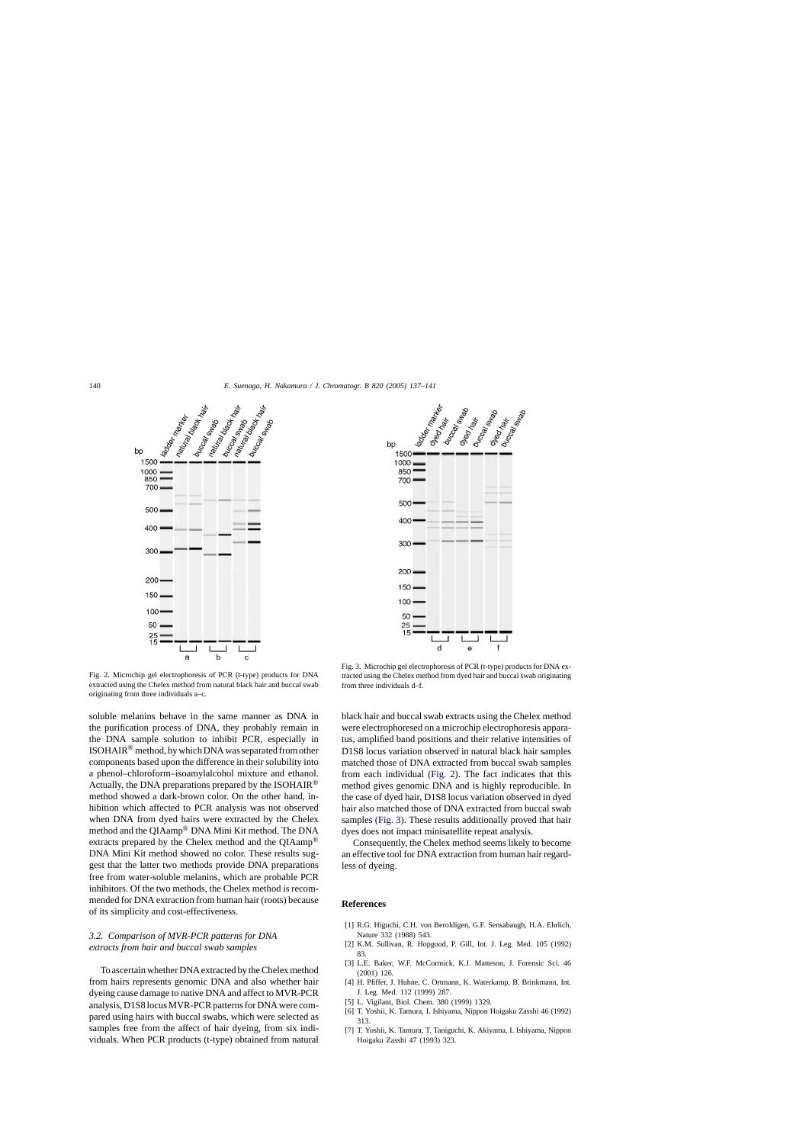<span id="page-3-0"></span>



Fig. 2. Microchip gel electrophoresis of PCR (t-type) products for DNA extracted using the Chelex method from natural black hair and buccal swab originating from three individuals a–c.

soluble melanins behave in the same manner as DNA in the purification process of DNA, they probably remain in the DNA sample solution to inhibit PCR, especially in ISOHAIR® method, by which DNA was separated from other components based upon the difference in their solubility into a phenol–chloroform–isoamylalcohol mixture and ethanol. Actually, the DNA preparations prepared by the ISOHAIR<sup>®</sup> method showed a dark-brown color. On the other hand, inhibition which affected to PCR analysis was not observed when DNA from dyed hairs were extracted by the Chelex method and the QIAamp® DNA Mini Kit method. The DNA extracts prepared by the Chelex method and the OIAamp<sup>®</sup> DNA Mini Kit method showed no color. These results suggest that the latter two methods provide DNA preparations free from water-soluble melanins, which are probable PCR inhibitors. Of the two methods, the Chelex method is recommended for DNA extraction from human hair (roots) because of its simplicity and cost-effectiveness.

## *3.2. Comparison of MVR-PCR patterns for DNA extracts from hair and buccal swab samples*

To ascertain whether DNA extracted by the Chelex method from hairs represents genomic DNA and also whether hair dyeing cause damage to native DNA and affect to MVR-PCR analysis, D1S8 locus MVR-PCR patterns for DNA were compared using hairs with buccal swabs, which were selected as samples free from the affect of hair dyeing, from six individuals. When PCR products (t-type) obtained from natural

Fig. 3. Microchip gel electrophoresis of PCR (t-type) products for DNA extracted using the Chelex method from dyed hair and buccal swab originating from three individuals d–f.

black hair and buccal swab extracts using the Chelex method were electrophoresed on a microchip electrophoresis apparatus, amplified band positions and their relative intensities of D1S8 locus variation observed in natural black hair samples matched those of DNA extracted from buccal swab samples from each individual (Fig. 2). The fact indicates that this method gives genomic DNA and is highly reproducible. In the case of dyed hair, D1S8 locus variation observed in dyed hair also matched those of DNA extracted from buccal swab samples (Fig. 3). These results additionally proved that hair dyes does not impact minisatellite repeat analysis.

Consequently, the Chelex method seems likely to become an effective tool for DNA extraction from human hair regardless of dyeing.

#### **References**

- [1] R.G. Higuchi, C.H. von Beroldigen, G.F. Sensabaugh, H.A. Ehrlich, Nature 332 (1988) 543.
- [2] K.M. Sullivan, R. Hopgood, P. Gill, Int. J. Leg. Med. 105 (1992) 83.
- [3] L.E. Baker, W.F. McCormick, K.J. Matteson, J. Forensic Sci. 46 (2001) 126.
- [4] H. Pfiffer, J. Huhne, C. Ortmann, K. Waterkamp, B. Brinkmann, Int. J. Leg. Med. 112 (1999) 287.
- [5] L. Vigilant, Biol. Chem. 380 (1999) 1329.
- [6] T. Yoshii, K. Tamura, I. Ishiyama, Nippon Hoigaku Zasshi 46 (1992) 313.
- [7] T. Yoshii, K. Tamura, T. Taniguchi, K. Akiyama, I. Ishiyama, Nippon Hoigaku Zasshi 47 (1993) 323.